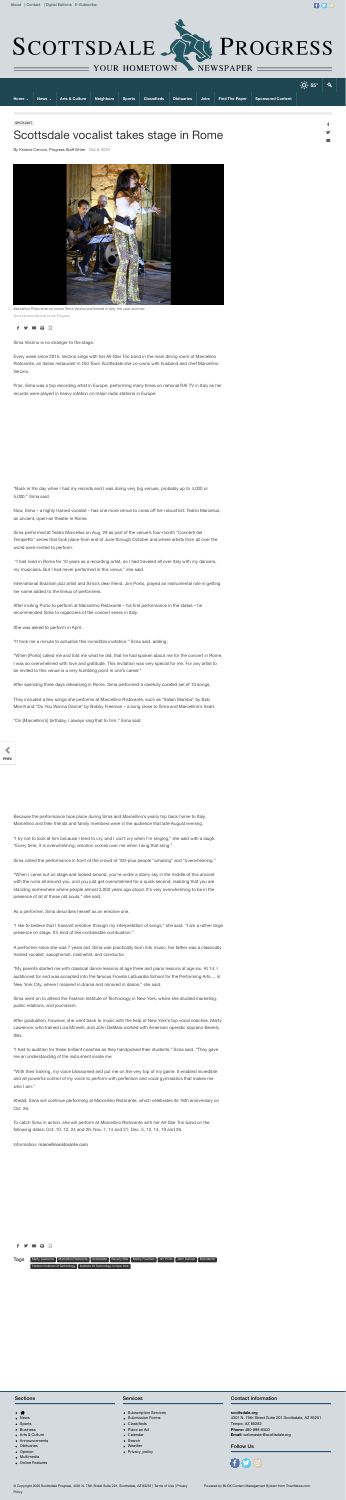

 $f$  $q$  $q$  $q$ 

|                           |          |                           |  |                              |  |                                        |                   | $\cdot$ O $\cdot$ 55° | $\overline{Q}$ |
|---------------------------|----------|---------------------------|--|------------------------------|--|----------------------------------------|-------------------|-----------------------|----------------|
| Home $\blacktriangledown$ | News - \ | <b>Arts &amp; Culture</b> |  | Neighbors Sports Classifieds |  | <b>Dobituaries Jobs Find The Paper</b> | Sponsored Content |                       |                |
|                           |          |                           |  |                              |  |                                        |                   |                       |                |

SPOTLIGHT

## Scottsdale vocalist takes stage in Rome

By Kristine Cannon, Progress Staff Writer Oct 6, 2019



Marcellino Ristorante co-owner Sima Verzino performed in Italy this past summer. Sima Verrzino/Special to the Progress



Sima Verzino is no stranger to the stage.

Every week since 2015, Verzino sings with her All-Star Trio band in the main dining room of Marcellino Ristorante, an Italian restaurant in Old Town Scottsdale she co-owns with husband and chef Marcellino Verzino.

Prior, Sima was a top recording artist in Europe, performing many times on national RAI TV in Italy as her records were played in heavy rotation on major radio stations in Europe.

"Back in the day when I had my records and I was doing very big venues, probably up to 4,000 or 5,000," Sima said.

Now, Sima – a highly trained vocalist – has one more venue to cross off her robust list: Teatro Marcellus, an ancient, open-air theater in Rome.

Sima performed at Teatro Marcellus on Aug. 29 as part of the venue's four-month "Concerti del Tempietto" series that took place from end of June through October and where artists from all over the world were invited to perform.

 "I had lived in Rome for 10 years as a recording artist, so I had traveled all over Italy with my dancers, my musicians. But I had never performed in this venue," she said.

International Brazilian jazz artist and Sima's dear friend, Jim Porto, played an instrumental role in getting her name added to the lineup of performers.

After inviting Porto to perform at Marcellino Ristorante – his first performance in the states – he recommended Sima to organizers of the concert series in Italy.

She was asked to perform in April.

"It took me a minute to actualize this incredible invitation," Sima said, adding:

"When [Porto] called me and told me what he did, that he had spoken about me for the concert in Rome, I was so overwhelmed with love and gratitude. This invitation was very special for me. For any artist to be invited to this venue is a very humbling point in one's career."

"With their training, my voice blossomed and put me on the very top of my game. It enabled incredible and all-powerful control of my voice to perform with perfection and vocal gymnastics that makes me who I am."

After spending three days rehearsing in Rome, Sima performed a carefully curated set of 10 songs.

They included a few songs she performs at Marcellino Ristorante, such as "Italian Mambo" by Bob Merrill and "Do You Wanna Dance" by Bobby Freeman – a song close to Sima and Marcellino's heart.

"On [Marcellino's] birthday, I always sing that to him," Sima said.

## **PREV NEXT**

Because the performance took place during Sima and Marcellino's yearly trip back home to Italy, Marcellino and their friends and family members were in the audience that late-August evening.

"I try not to look at him because I tend to cry, and I can't cry when I'm singing," she said with a laugh. "Every time, it is overwhelming; emotion comes over me when I sing that song."

Sima called the performance in front of the crowd of 100-plus people "amazing" and "overwhelming."

"When I came out on stage and looked around, you're under a starry sky in the middle of this ancient with the ruins all around you, and you just get overwhelmed for a quick second, realizing that you are standing somewhere where people almost 3,000 years ago stood. It's very overwhelming to be in the presence of all of those old souls," she said.

As a performer, Sima describes herself as an emotive one.

"I like to believe that I transmit emotion through my interpretation of songs," she said. "I am a rather large presence on stage. It's kind of like containable combustion."

A performer since she was 7 years old, Sima was practically born into music; her father was a classically trained vocalist, saxophonist, clarinetist, and conductor.

"My parents started me with classical dance lessons at age three and piano lessons at age six. At 14, I auditioned for and was accepted into the famous Fiorella LaGuardia School for the Performing Arts ... in New York City, where I majored in drama and minored in dance," she said.

Sima went on to attend the Fashion Institute of Technology in New York, where she studied marketing, public relations, and journalism.

After graduation, however, she went back to music with the help of New York's top vocal coaches, Marty Lawrence, who trained Liza Minnelli, and John DeMaio,worked with American operatic soprano Beverly Sills.

"I had to audition for these brilliant coaches as they handpicked their students," Sima said. "They gave me an understanding of the instrument inside me.

Ahead, Sima will continue performing at Marcellino Ristorante, which celebrates its 16th anniversary on Oct. 26.

To catch Sima in action, she will perform at Marcellino Ristorante with her All-Star Trio band on the following dates: Oct. 10, 12, 24 and 26; Nov. 7, 14 and 21; Dec. 5, 12, 14, 19 and 26.

Information: marcellinoristorante.com